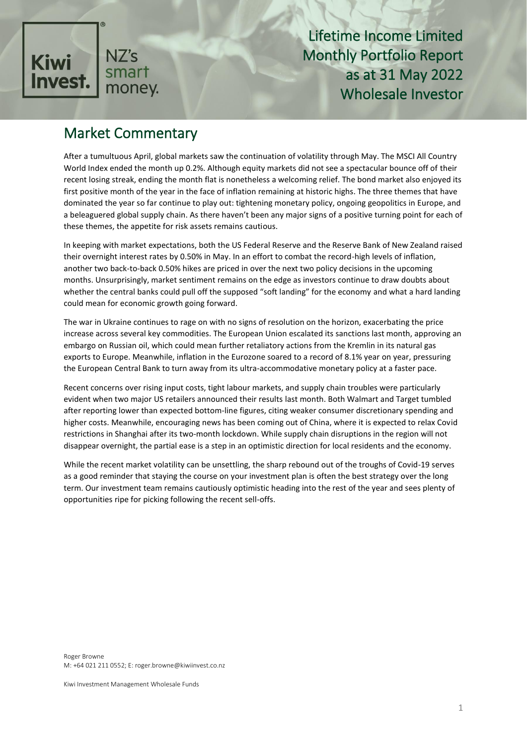

Lifetime Income Limited Monthly Portfolio Report as at 31 May 2022 Wholesale Investor

#### Market Commentary

After a tumultuous April, global markets saw the continuation of volatility through May. The MSCI All Country World Index ended the month up 0.2%. Although equity markets did not see a spectacular bounce off of their recent losing streak, ending the month flat is nonetheless a welcoming relief. The bond market also enjoyed its first positive month of the year in the face of inflation remaining at historic highs. The three themes that have dominated the year so far continue to play out: tightening monetary policy, ongoing geopolitics in Europe, and a beleaguered global supply chain. As there haven't been any major signs of a positive turning point for each of these themes, the appetite for risk assets remains cautious.

In keeping with market expectations, both the US Federal Reserve and the Reserve Bank of New Zealand raised their overnight interest rates by 0.50% in May. In an effort to combat the record-high levels of inflation, another two back-to-back 0.50% hikes are priced in over the next two policy decisions in the upcoming months. Unsurprisingly, market sentiment remains on the edge as investors continue to draw doubts about whether the central banks could pull off the supposed "soft landing" for the economy and what a hard landing could mean for economic growth going forward.

The war in Ukraine continues to rage on with no signs of resolution on the horizon, exacerbating the price increase across several key commodities. The European Union escalated its sanctions last month, approving an embargo on Russian oil, which could mean further retaliatory actions from the Kremlin in its natural gas exports to Europe. Meanwhile, inflation in the Eurozone soared to a record of 8.1% year on year, pressuring the European Central Bank to turn away from its ultra-accommodative monetary policy at a faster pace.

Recent concerns over rising input costs, tight labour markets, and supply chain troubles were particularly evident when two major US retailers announced their results last month. Both Walmart and Target tumbled after reporting lower than expected bottom-line figures, citing weaker consumer discretionary spending and higher costs. Meanwhile, encouraging news has been coming out of China, where it is expected to relax Covid restrictions in Shanghai after its two-month lockdown. While supply chain disruptions in the region will not disappear overnight, the partial ease is a step in an optimistic direction for local residents and the economy.

While the recent market volatility can be unsettling, the sharp rebound out of the troughs of Covid-19 serves as a good reminder that staying the course on your investment plan is often the best strategy over the long term. Our investment team remains cautiously optimistic heading into the rest of the year and sees plenty of opportunities ripe for picking following the recent sell-offs.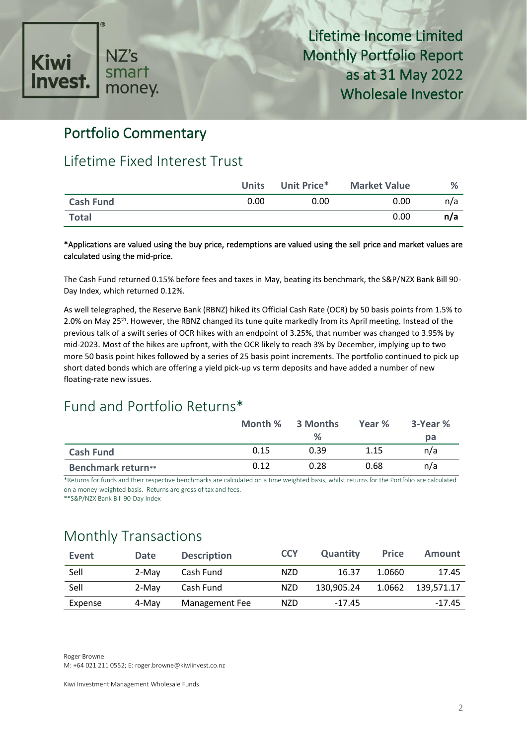

#### Portfolio Commentary

#### Lifetime Fixed Interest Trust

|                  | <b>Units</b> | Unit Price* | <b>Market Value</b> | ℅   |
|------------------|--------------|-------------|---------------------|-----|
| <b>Cash Fund</b> | 0.00         | 0.00        | 0.00                | n/a |
| <b>Total</b>     |              |             | 0.00                | n/a |

\*Applications are valued using the buy price, redemptions are valued using the sell price and market values are calculated using the mid-price.

The Cash Fund returned 0.15% before fees and taxes in May, beating its benchmark, the S&P/NZX Bank Bill 90- Day Index, which returned 0.12%.

As well telegraphed, the Reserve Bank (RBNZ) hiked its Official Cash Rate (OCR) by 50 basis points from 1.5% to 2.0% on May 25<sup>th</sup>. However, the RBNZ changed its tune quite markedly from its April meeting. Instead of the previous talk of a swift series of OCR hikes with an endpoint of 3.25%, that number was changed to 3.95% by mid-2023. Most of the hikes are upfront, with the OCR likely to reach 3% by December, implying up to two more 50 basis point hikes followed by a series of 25 basis point increments. The portfolio continued to pick up short dated bonds which are offering a yield pick-up vs term deposits and have added a number of new floating-rate new issues.

## Fund and Portfolio Returns\*

|                           |      | Month % 3 Months | Year % | 3-Year % |
|---------------------------|------|------------------|--------|----------|
|                           |      | %                |        | рa       |
| <b>Cash Fund</b>          | 0.15 | 0.39             | 1.15   | n/a      |
| <b>Benchmark return**</b> | 0.12 | 0.28             | 0.68   | n/a      |

\*Returns for funds and their respective benchmarks are calculated on a time weighted basis, whilst returns for the Portfolio are calculated on a money-weighted basis. Returns are gross of tax and fees.

\*\*S&P/NZX Bank Bill 90-Day Index

#### Monthly Transactions

| Event   | <b>Date</b> | <b>Description</b> | <b>CCY</b> | <b>Quantity</b> | <b>Price</b> | Amount     |
|---------|-------------|--------------------|------------|-----------------|--------------|------------|
| Sell    | 2-May       | Cash Fund          | <b>NZD</b> | 16.37           | 1.0660       | 17.45      |
| Sell    | 2-May       | Cash Fund          | <b>NZD</b> | 130.905.24      | 1.0662       | 139.571.17 |
| Expense | 4-May       | Management Fee     | <b>NZD</b> | $-17.45$        |              | $-17.45$   |

Roger Browne M: +64 021 211 0552; E: roger.browne@kiwiinvest.co.nz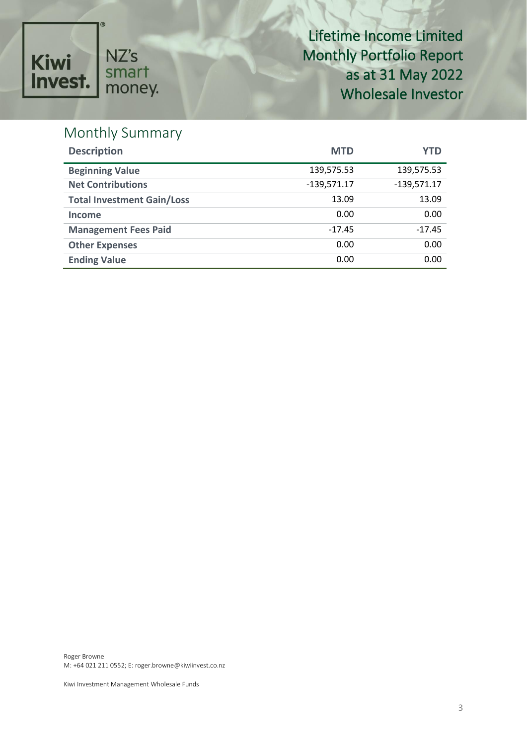

Lifetime Income Limited Monthly Portfolio Report as at 31 May 2022 Wholesale Investor

# Monthly Summary

| <b>Description</b>                | <b>MTD</b>    | YTD           |
|-----------------------------------|---------------|---------------|
| <b>Beginning Value</b>            | 139,575.53    | 139,575.53    |
| <b>Net Contributions</b>          | $-139,571.17$ | $-139,571.17$ |
| <b>Total Investment Gain/Loss</b> | 13.09         | 13.09         |
| <b>Income</b>                     | 0.00          | 0.00          |
| <b>Management Fees Paid</b>       | $-17.45$      | $-17.45$      |
| <b>Other Expenses</b>             | 0.00          | 0.00          |
| <b>Ending Value</b>               | 0.00          | 0.00          |

Roger Browne M: +64 021 211 0552; E: roger.browne@kiwiinvest.co.nz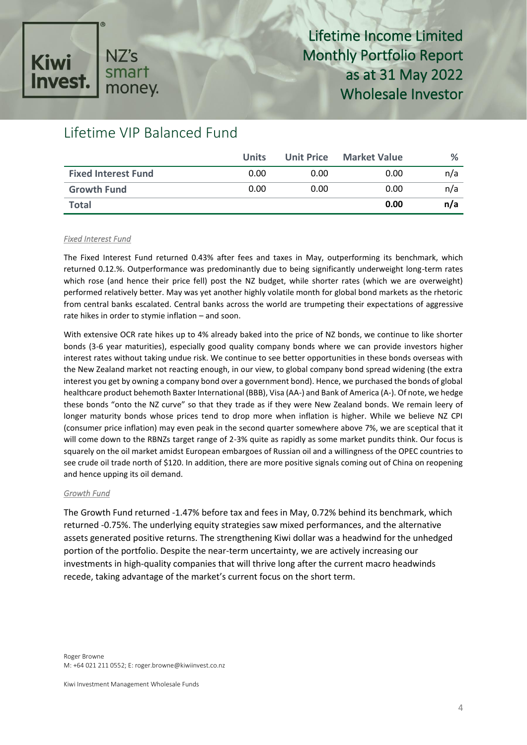#### NZ's **Kiwi** smart **Invest** money.

# Lifetime Income Limited Monthly Portfolio Report as at 31 May 2022 Wholesale Investor

# Lifetime VIP Balanced Fund

|                            | <b>Units</b> |      | Unit Price Market Value | %   |
|----------------------------|--------------|------|-------------------------|-----|
| <b>Fixed Interest Fund</b> | 0.00         | 0.00 | 0.00                    | n/a |
| <b>Growth Fund</b>         | 0.00         | 0.00 | 0.00                    | n/a |
| <b>Total</b>               |              |      | 0.00                    | n/a |

#### *Fixed Interest Fund*

The Fixed Interest Fund returned 0.43% after fees and taxes in May, outperforming its benchmark, which returned 0.12.%. Outperformance was predominantly due to being significantly underweight long-term rates which rose (and hence their price fell) post the NZ budget, while shorter rates (which we are overweight) performed relatively better. May was yet another highly volatile month for global bond markets as the rhetoric from central banks escalated. Central banks across the world are trumpeting their expectations of aggressive rate hikes in order to stymie inflation – and soon.

With extensive OCR rate hikes up to 4% already baked into the price of NZ bonds, we continue to like shorter bonds (3-6 year maturities), especially good quality company bonds where we can provide investors higher interest rates without taking undue risk. We continue to see better opportunities in these bonds overseas with the New Zealand market not reacting enough, in our view, to global company bond spread widening (the extra interest you get by owning a company bond over a government bond). Hence, we purchased the bonds of global healthcare product behemoth Baxter International (BBB), Visa (AA-) and Bank of America (A-). Of note, we hedge these bonds "onto the NZ curve" so that they trade as if they were New Zealand bonds. We remain leery of longer maturity bonds whose prices tend to drop more when inflation is higher. While we believe NZ CPI (consumer price inflation) may even peak in the second quarter somewhere above 7%, we are sceptical that it will come down to the RBNZs target range of 2-3% quite as rapidly as some market pundits think. Our focus is squarely on the oil market amidst European embargoes of Russian oil and a willingness of the OPEC countries to see crude oil trade north of \$120. In addition, there are more positive signals coming out of China on reopening and hence upping its oil demand.

#### *Growth Fund*

The Growth Fund returned -1.47% before tax and fees in May, 0.72% behind its benchmark, which returned -0.75%. The underlying equity strategies saw mixed performances, and the alternative assets generated positive returns. The strengthening Kiwi dollar was a headwind for the unhedged portion of the portfolio. Despite the near-term uncertainty, we are actively increasing our investments in high-quality companies that will thrive long after the current macro headwinds recede, taking advantage of the market's current focus on the short term.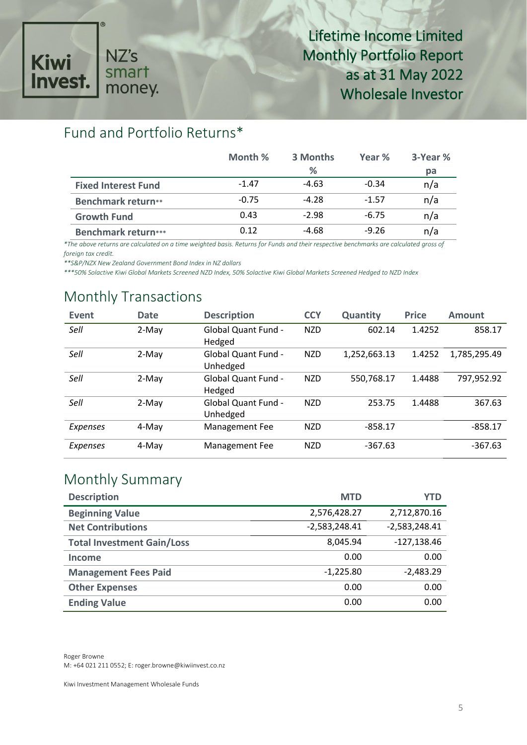

#### Fund and Portfolio Returns\*

|                            | Month % | 3 Months | Year %  | 3-Year % |
|----------------------------|---------|----------|---------|----------|
|                            |         | %        |         | pa       |
| <b>Fixed Interest Fund</b> | $-1.47$ | $-4.63$  | $-0.34$ | n/a      |
| <b>Benchmark return**</b>  | $-0.75$ | $-4.28$  | $-1.57$ | n/a      |
| <b>Growth Fund</b>         | 0.43    | $-2.98$  | $-6.75$ | n/a      |
| <b>Benchmark return***</b> | 0.12    | $-4.68$  | $-9.26$ | n/a      |

*\*The above returns are calculated on a time weighted basis. Returns for Funds and their respective benchmarks are calculated gross of foreign tax credit.* 

*\*\*S&P/NZX New Zealand Government Bond Index in NZ dollars*

*\*\*\*50% Solactive Kiwi Global Markets Screened NZD Index, 50% Solactive Kiwi Global Markets Screened Hedged to NZD Index*

#### Monthly Transactions

| Event           | <b>Date</b> | <b>Description</b>                     | <b>CCY</b> | Quantity     | <b>Price</b> | <b>Amount</b> |
|-----------------|-------------|----------------------------------------|------------|--------------|--------------|---------------|
| Sell            | 2-May       | <b>Global Quant Fund -</b><br>Hedged   | <b>NZD</b> | 602.14       | 1.4252       | 858.17        |
| Sell            | 2-May       | <b>Global Quant Fund -</b><br>Unhedged | <b>NZD</b> | 1,252,663.13 | 1.4252       | 1,785,295.49  |
| Sell            | 2-May       | Global Quant Fund -<br>Hedged          | <b>NZD</b> | 550,768.17   | 1.4488       | 797,952.92    |
| Sell            | 2-May       | <b>Global Quant Fund -</b><br>Unhedged | <b>NZD</b> | 253.75       | 1.4488       | 367.63        |
| Expenses        | 4-May       | Management Fee                         | <b>NZD</b> | $-858.17$    |              | $-858.17$     |
| <b>Expenses</b> | 4-May       | Management Fee                         | <b>NZD</b> | $-367.63$    |              | $-367.63$     |

#### Monthly Summary

| <b>Description</b>                | <b>MTD</b>      | YTD             |
|-----------------------------------|-----------------|-----------------|
| <b>Beginning Value</b>            | 2,576,428.27    | 2,712,870.16    |
| <b>Net Contributions</b>          | $-2,583,248.41$ | $-2,583,248.41$ |
| <b>Total Investment Gain/Loss</b> | 8,045.94        | $-127,138.46$   |
| <b>Income</b>                     | 0.00            | 0.00            |
| <b>Management Fees Paid</b>       | $-1,225.80$     | $-2,483.29$     |
| <b>Other Expenses</b>             | 0.00            | 0.00            |
| <b>Ending Value</b>               | 0.00            | 0.00            |

Roger Browne M: +64 021 211 0552; E: roger.browne@kiwiinvest.co.nz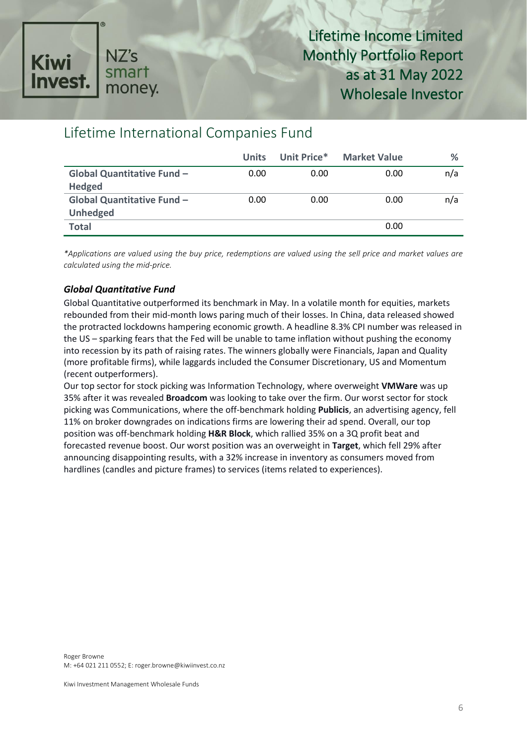

#### Lifetime International Companies Fund

|                                   | <b>Units</b> | Unit Price* | <b>Market Value</b> | %   |
|-----------------------------------|--------------|-------------|---------------------|-----|
| <b>Global Quantitative Fund -</b> | 0.00         | 0.00        | 0.00                | n/a |
| <b>Hedged</b>                     |              |             |                     |     |
| <b>Global Quantitative Fund -</b> | 0.00         | 0.00        | 0.00                | n/a |
| <b>Unhedged</b>                   |              |             |                     |     |
| <b>Total</b>                      |              |             | 0.00                |     |

*\*Applications are valued using the buy price, redemptions are valued using the sell price and market values are calculated using the mid-price.*

#### *Global Quantitative Fund*

Global Quantitative outperformed its benchmark in May. In a volatile month for equities, markets rebounded from their mid-month lows paring much of their losses. In China, data released showed the protracted lockdowns hampering economic growth. A headline 8.3% CPI number was released in the US – sparking fears that the Fed will be unable to tame inflation without pushing the economy into recession by its path of raising rates. The winners globally were Financials, Japan and Quality (more profitable firms), while laggards included the Consumer Discretionary, US and Momentum (recent outperformers).

Our top sector for stock picking was Information Technology, where overweight **VMWare** was up 35% after it was revealed **Broadcom** was looking to take over the firm. Our worst sector for stock picking was Communications, where the off-benchmark holding **Publicis**, an advertising agency, fell 11% on broker downgrades on indications firms are lowering their ad spend. Overall, our top position was off-benchmark holding **H&R Block**, which rallied 35% on a 3Q profit beat and forecasted revenue boost. Our worst position was an overweight in **Target**, which fell 29% after announcing disappointing results, with a 32% increase in inventory as consumers moved from hardlines (candles and picture frames) to services (items related to experiences).